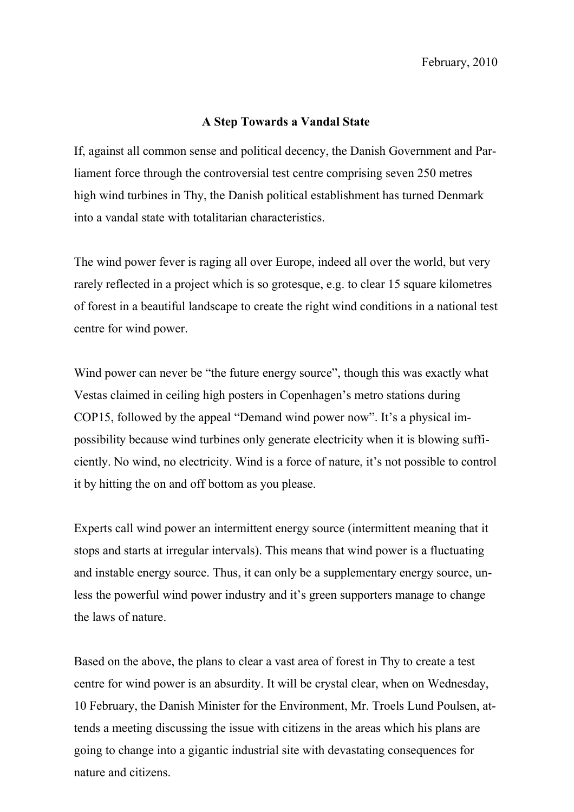## **A Step Towards a Vandal State**

If, against all common sense and political decency, the Danish Government and Parliament force through the controversial test centre comprising seven 250 metres high wind turbines in Thy, the Danish political establishment has turned Denmark into a vandal state with totalitarian characteristics.

The wind power fever is raging all over Europe, indeed all over the world, but very rarely reflected in a project which is so grotesque, e.g. to clear 15 square kilometres of forest in a beautiful landscape to create the right wind conditions in a national test centre for wind power.

Wind power can never be "the future energy source", though this was exactly what Vestas claimed in ceiling high posters in Copenhagen's metro stations during COP15, followed by the appeal "Demand wind power now". It's a physical impossibility because wind turbines only generate electricity when it is blowing sufficiently. No wind, no electricity. Wind is a force of nature, it's not possible to control it by hitting the on and off bottom as you please.

Experts call wind power an intermittent energy source (intermittent meaning that it stops and starts at irregular intervals). This means that wind power is a fluctuating and instable energy source. Thus, it can only be a supplementary energy source, unless the powerful wind power industry and it's green supporters manage to change the laws of nature.

Based on the above, the plans to clear a vast area of forest in Thy to create a test centre for wind power is an absurdity. It will be crystal clear, when on Wednesday, 10 February, the Danish Minister for the Environment, Mr. Troels Lund Poulsen, attends a meeting discussing the issue with citizens in the areas which his plans are going to change into a gigantic industrial site with devastating consequences for nature and citizens.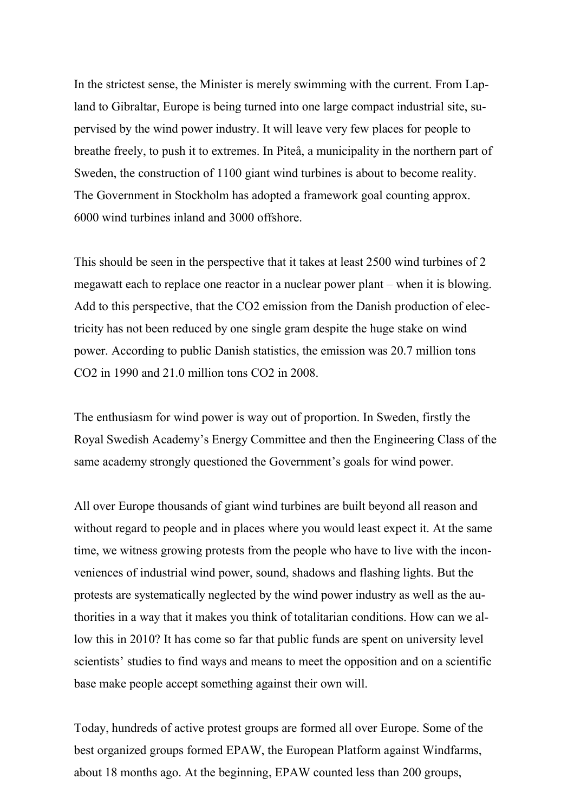In the strictest sense, the Minister is merely swimming with the current. From Lapland to Gibraltar, Europe is being turned into one large compact industrial site, supervised by the wind power industry. It will leave very few places for people to breathe freely, to push it to extremes. In Piteå, a municipality in the northern part of Sweden, the construction of 1100 giant wind turbines is about to become reality. The Government in Stockholm has adopted a framework goal counting approx. 6000 wind turbines inland and 3000 offshore.

This should be seen in the perspective that it takes at least 2500 wind turbines of 2 megawatt each to replace one reactor in a nuclear power plant – when it is blowing. Add to this perspective, that the CO2 emission from the Danish production of electricity has not been reduced by one single gram despite the huge stake on wind power. According to public Danish statistics, the emission was 20.7 million tons CO2 in 1990 and 21.0 million tons CO2 in 2008.

The enthusiasm for wind power is way out of proportion. In Sweden, firstly the Royal Swedish Academy's Energy Committee and then the Engineering Class of the same academy strongly questioned the Government's goals for wind power.

All over Europe thousands of giant wind turbines are built beyond all reason and without regard to people and in places where you would least expect it. At the same time, we witness growing protests from the people who have to live with the inconveniences of industrial wind power, sound, shadows and flashing lights. But the protests are systematically neglected by the wind power industry as well as the authorities in a way that it makes you think of totalitarian conditions. How can we allow this in 2010? It has come so far that public funds are spent on university level scientists' studies to find ways and means to meet the opposition and on a scientific base make people accept something against their own will.

Today, hundreds of active protest groups are formed all over Europe. Some of the best organized groups formed EPAW, the European Platform against Windfarms, about 18 months ago. At the beginning, EPAW counted less than 200 groups,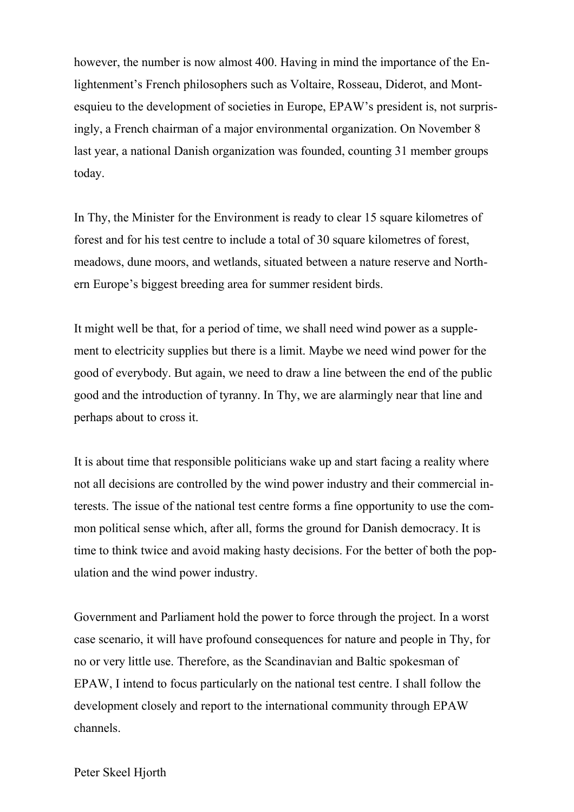however, the number is now almost 400. Having in mind the importance of the Enlightenment's French philosophers such as Voltaire, Rosseau, Diderot, and Montesquieu to the development of societies in Europe, EPAW's president is, not surprisingly, a French chairman of a major environmental organization. On November 8 last year, a national Danish organization was founded, counting 31 member groups today.

In Thy, the Minister for the Environment is ready to clear 15 square kilometres of forest and for his test centre to include a total of 30 square kilometres of forest, meadows, dune moors, and wetlands, situated between a nature reserve and Northern Europe's biggest breeding area for summer resident birds.

It might well be that, for a period of time, we shall need wind power as a supplement to electricity supplies but there is a limit. Maybe we need wind power for the good of everybody. But again, we need to draw a line between the end of the public good and the introduction of tyranny. In Thy, we are alarmingly near that line and perhaps about to cross it.

It is about time that responsible politicians wake up and start facing a reality where not all decisions are controlled by the wind power industry and their commercial interests. The issue of the national test centre forms a fine opportunity to use the common political sense which, after all, forms the ground for Danish democracy. It is time to think twice and avoid making hasty decisions. For the better of both the population and the wind power industry.

Government and Parliament hold the power to force through the project. In a worst case scenario, it will have profound consequences for nature and people in Thy, for no or very little use. Therefore, as the Scandinavian and Baltic spokesman of EPAW, I intend to focus particularly on the national test centre. I shall follow the development closely and report to the international community through EPAW channels.